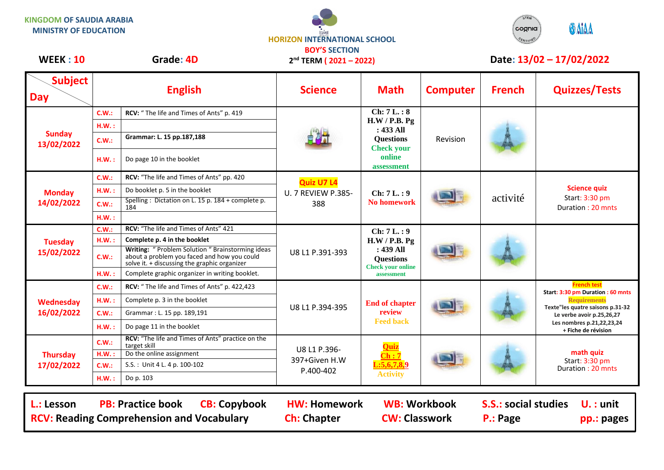**KINGDOM OF SAUDIA ARABIA MINISTRY OF EDUCATION**

## **HORIZON INTERNATIONAL SCHOOL BOY'S SECTION**

**2 nd TERM ( 2021 – 2022)**



## WEEK : 10 Grade: 4D 2<sup>nd</sup> TERM (2021 – 2022) Date: 13/02 – 17/02/2022

| <b>Subject</b><br><b>Day</b>  | <b>English</b> |                                                                                                                                                 | <b>Science</b>                                        | <b>Math</b>                                                                                                 | <b>Computer</b> | <b>French</b> | <b>Quizzes/Tests</b>                                                                                                                     |
|-------------------------------|----------------|-------------------------------------------------------------------------------------------------------------------------------------------------|-------------------------------------------------------|-------------------------------------------------------------------------------------------------------------|-----------------|---------------|------------------------------------------------------------------------------------------------------------------------------------------|
| <b>Sunday</b><br>13/02/2022   | C.W.:          | RCV: "The life and Times of Ants" p. 419                                                                                                        |                                                       | Ch: 7L.: 8<br>H.W / P.B. Pg<br>$: 433$ All<br><b>Questions</b><br><b>Check your</b><br>online<br>assessment | Revision        |               |                                                                                                                                          |
|                               | H.W.:          |                                                                                                                                                 |                                                       |                                                                                                             |                 |               |                                                                                                                                          |
|                               | C.W.:          | Grammar: L. 15 pp.187,188                                                                                                                       |                                                       |                                                                                                             |                 |               |                                                                                                                                          |
|                               | H.W.:          | Do page 10 in the booklet                                                                                                                       |                                                       |                                                                                                             |                 |               |                                                                                                                                          |
| <b>Monday</b><br>14/02/2022   | C.W.:          | RCV: "The life and Times of Ants" pp. 420                                                                                                       | <b>Quiz U7 L4</b><br><b>U. 7 REVIEW P.385-</b><br>388 | Ch: 7L.: 9<br><b>No homework</b>                                                                            |                 | activité      | <b>Science quiz</b><br>Start: 3:30 pm<br>Duration: 20 mnts                                                                               |
|                               | H.W.:          | Do booklet p. 5 in the booklet                                                                                                                  |                                                       |                                                                                                             |                 |               |                                                                                                                                          |
|                               | C.W.:          | Spelling: Dictation on L. 15 p. 184 + complete p.<br>184                                                                                        |                                                       |                                                                                                             |                 |               |                                                                                                                                          |
|                               | H.W.:          |                                                                                                                                                 |                                                       |                                                                                                             |                 |               |                                                                                                                                          |
|                               | C.W.:          | RCV: "The life and Times of Ants" 421                                                                                                           | U8 L1 P.391-393                                       | Ch: 7L.: 9<br>H.W / P.B. Pg<br>: 439 All<br><b>Questions</b><br><b>Check your online</b><br>assessment      |                 |               |                                                                                                                                          |
| <b>Tuesday</b>                | H.W.:          | Complete p. 4 in the booklet                                                                                                                    |                                                       |                                                                                                             |                 |               |                                                                                                                                          |
| 15/02/2022                    | C.W.:          | Writing: "Problem Solution " Brainstorming ideas<br>about a problem you faced and how you could<br>solve it. + discussing the graphic organizer |                                                       |                                                                                                             |                 |               |                                                                                                                                          |
|                               | H.W.:          | Complete graphic organizer in writing booklet.                                                                                                  |                                                       |                                                                                                             |                 |               |                                                                                                                                          |
| Wednesday<br>16/02/2022       | C.W.:          | RCV: "The life and Times of Ants" p. 422,423                                                                                                    | U8 L1 P.394-395                                       | <b>End of chapter</b><br>review<br><b>Feed back</b>                                                         |                 |               | <b>French test</b><br>Start: 3:30 pm Duration: 60 mnts                                                                                   |
|                               | H.W.:          | Complete p. 3 in the booklet                                                                                                                    |                                                       |                                                                                                             |                 |               | <b>Requirements</b><br>Texte"les quatre saisons p.31-32<br>Le verbe avoir p.25,26,27<br>Les nombres p.21,22,23,24<br>+ Fiche de révision |
|                               | C.W.:          | Grammar: L. 15 pp. 189,191                                                                                                                      |                                                       |                                                                                                             |                 |               |                                                                                                                                          |
|                               | H.W.:          | Do page 11 in the booklet                                                                                                                       |                                                       |                                                                                                             |                 |               |                                                                                                                                          |
| <b>Thursday</b><br>17/02/2022 | C.W.:          | RCV: "The life and Times of Ants" practice on the<br>target skill                                                                               | U8 L1 P.396-<br>397+Given H.W                         | Ouiz<br>$\overline{\text{Ch}:7}$<br>$:\overline{5,6,7,8,9}$<br><b>Activity</b>                              |                 |               | math quiz<br>Start: 3:30 pm<br>Duration: 20 mnts                                                                                         |
|                               | H.W.:          | Do the online assignment                                                                                                                        |                                                       |                                                                                                             |                 |               |                                                                                                                                          |
|                               | C.W.:          | S.S.: Unit 4 L. 4 p. 100-102                                                                                                                    | P.400-402                                             |                                                                                                             |                 |               |                                                                                                                                          |
|                               | H.W.:          | Do p. 103                                                                                                                                       |                                                       |                                                                                                             |                 |               |                                                                                                                                          |
|                               |                |                                                                                                                                                 |                                                       |                                                                                                             |                 |               |                                                                                                                                          |

L.: Lesson PB: Practice book CB: Copybook HW: Homework WB: Workbook S.S.: social studies U. : unit **RCV: Reading Comprehension and Vocabulary and Ch: Chapter CW: Classwork P.: Page pp.: pages**